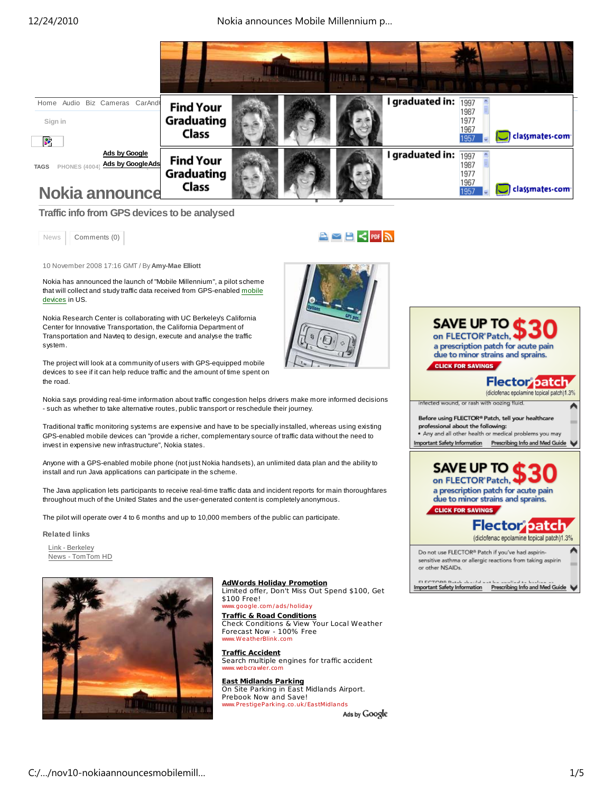12/24/2010 Nokia announces Mobile Millennium p…



**Traffic info from GPS devices to be analysed**

News | Comments (0)

10 November 2008 17:16 GMT / By **Amy-Mae Elliott**

Nokia has announced the launch of "Mobile Millennium", a pilot scheme that will collect and study traffic data received from GPS-enabled mobile devices in US.

Nokia Research Center is collaborating with UC Berkeley's California Center for Innovative Transportation, the California Department of Transportation and Navteq to design, execute and analyse the traffic system.

The project will look at a community of users with GPS-equipped mobile devices to see if it can help reduce traffic and the amount of time spent on the road.

Nokia says providing real-time information about traffic congestion helps drivers make more informed decisions - such as whether to take alternative routes, public transport or reschedule their journey.

Traditional traffic monitoring systems are expensive and have to be specially installed, whereas using existing GPS-enabled mobile devices can "provide a richer, complementary source of traffic data without the need to invest in expensive new infrastructure", Nokia states.

Anyone with a GPS-enabled mobile phone (not just Nokia handsets), an unlimited data plan and the ability to install and run Java applications can participate in the scheme.

The Java application lets participants to receive real-time traffic data and incident reports for main thoroughfares throughout much of the United States and the user-generated content is completely anonymous.

The pilot will operate over 4 to 6 months and up to 10,000 members of the public can participate.

# **Related links**

Link - Berkeley News - TomTom HD



**AdWords Holiday Promotion** Limited offer, Don't Miss Out Spend \$100, Get \$100 Free! www.google .com /ads/holiday

**Traffic & Road Conditions** Check Conditions & View Your Local Weather Forecast Now - 100% Free w.WeatherBlink.com

**Traffic Accident** Search multiple engines for traffic accident www.webcrawler.com

**East Midlands Parking** On Site Parking in East Midlands Airport. Prebook Now and Save! www.Pre stigePa rking.co .uk/EastMidlands

Ads by Google



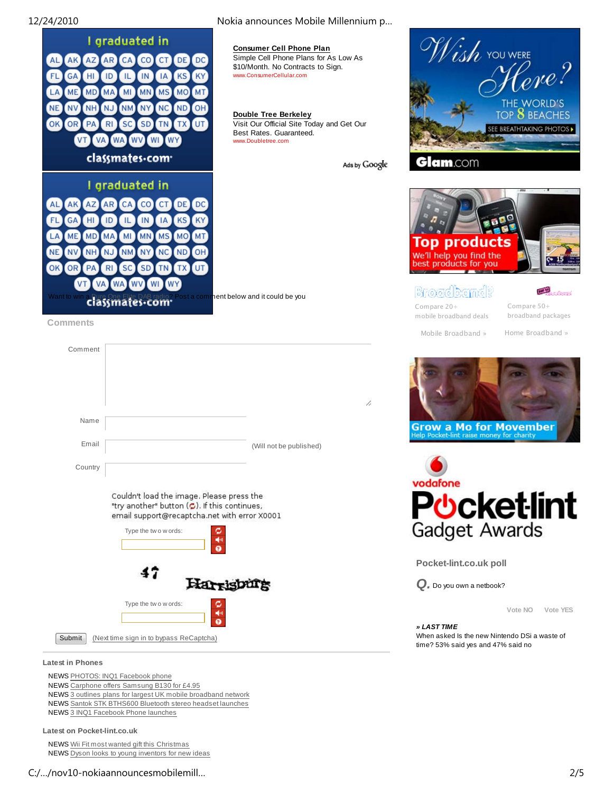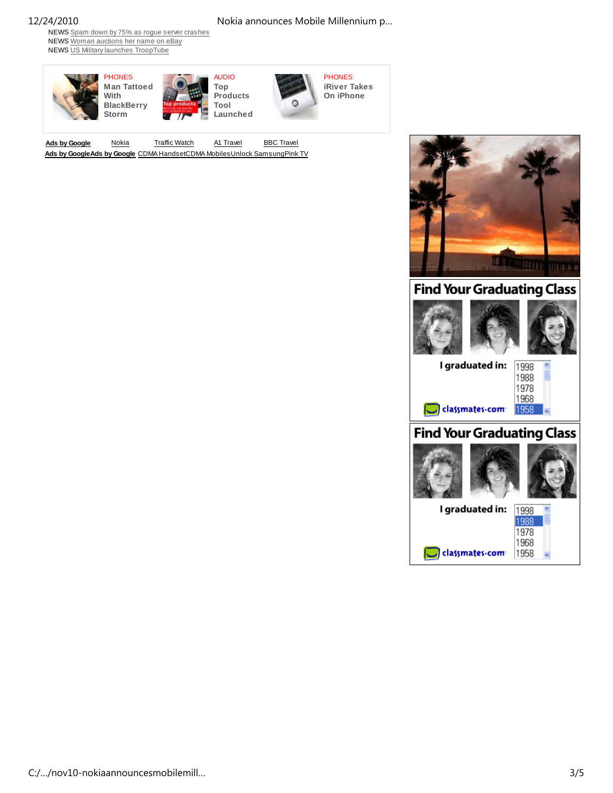# 12/24/2010 Nokia announces Mobile Millennium p…

NEWS Spam down by 75% as rogue server crashes NEWS Woman auctions her name on eBay NEWS US Military launches TroopTube



Ads by Google Nokia Traffic Watch A1 Travel BBC Travel **Ads by GoogleAds by Google** CDMA HandsetCDMA MobilesUnlock SamsungPink TV



# **Find Your Graduating Class**





# **Find Your Graduating Class**



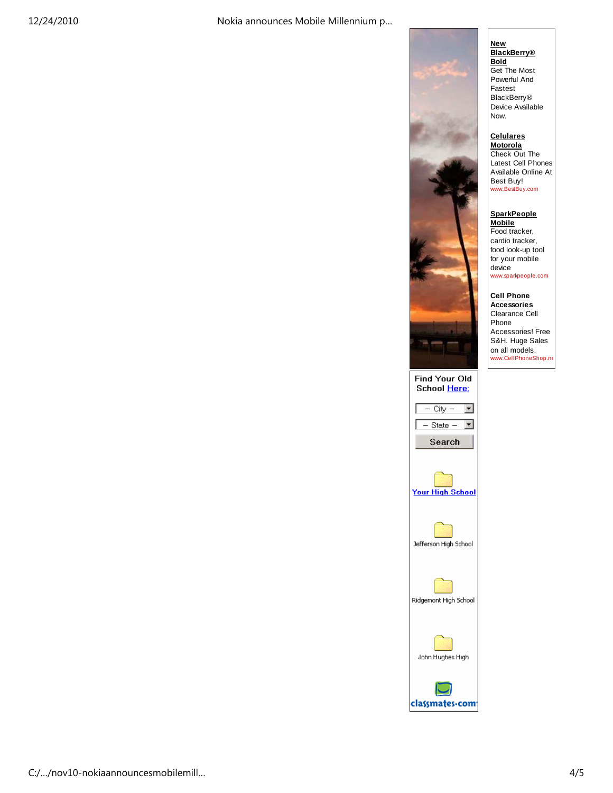

**Celulares Motorola** Check Out The Latest Cell Phones Available Online At Best Buy! www.BestBuy.com

**SparkPeople Mobile** Food tracker, cardio tracker, food look-up tool for your mobile device www.sparkpeople.com

**Cell Phone Accessories** Clearance Cell Phone Accessories! Free

S&H. Huge Sales on all models. www.CellPhoneShop.ne

Find Your Old School Here: